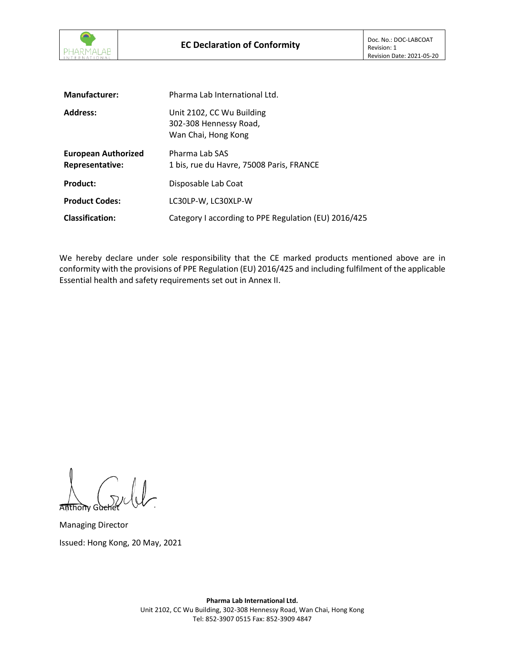

| <b>Manufacturer:</b>                          | Pharma Lab International Ltd.                                              |
|-----------------------------------------------|----------------------------------------------------------------------------|
| <b>Address:</b>                               | Unit 2102, CC Wu Building<br>302-308 Hennessy Road,<br>Wan Chai, Hong Kong |
| <b>European Authorized</b><br>Representative: | Pharma Lab SAS<br>1 bis, rue du Havre, 75008 Paris, FRANCE                 |
| <b>Product:</b>                               | Disposable Lab Coat                                                        |
| <b>Product Codes:</b>                         | LC30LP-W, LC30XLP-W                                                        |
| <b>Classification:</b>                        | Category I according to PPE Regulation (EU) 2016/425                       |

We hereby declare under sole responsibility that the CE marked products mentioned above are in conformity with the provisions of PPE Regulation (EU) 2016/425 and including fulfilment of the applicable Essential health and safety requirements set out in Annex II.

Anthony Guchet

Managing Director Issued: Hong Kong, 20 May, 2021